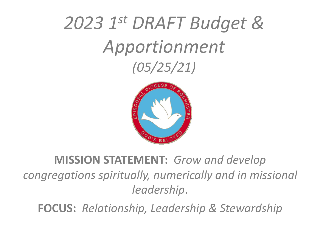# *2023 1st DRAFT Budget & Apportionment (05/25/21)*



### **MISSION STATEMENT:** *Grow and develop congregations spiritually, numerically and in missional leadership*.

**FOCUS:** *Relationship, Leadership & Stewardship*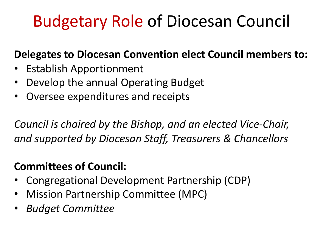# Budgetary Role of Diocesan Council

#### **Delegates to Diocesan Convention elect Council members to:**

- Establish Apportionment
- Develop the annual Operating Budget
- Oversee expenditures and receipts

*Council is chaired by the Bishop, and an elected Vice-Chair, and supported by Diocesan Staff, Treasurers & Chancellors*

### **Committees of Council:**

- Congregational Development Partnership (CDP)
- Mission Partnership Committee (MPC)
- *Budget Committee*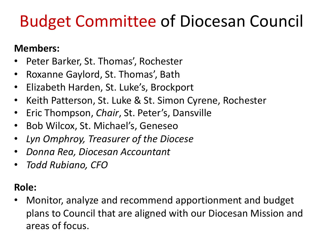# Budget Committee of Diocesan Council

#### **Members:**

- Peter Barker, St. Thomas', Rochester
- Roxanne Gaylord, St. Thomas', Bath
- Elizabeth Harden, St. Luke's, Brockport
- Keith Patterson, St. Luke & St. Simon Cyrene, Rochester
- Eric Thompson, *Chair*, St. Peter's, Dansville
- Bob Wilcox, St. Michael's, Geneseo
- *Lyn Omphroy, Treasurer of the Diocese*
- *Donna Rea, Diocesan Accountant*
- *Todd Rubiano, CFO*

#### **Role:**

• Monitor, analyze and recommend apportionment and budget plans to Council that are aligned with our Diocesan Mission and areas of focus.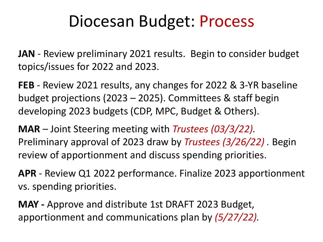# Diocesan Budget: Process

**JAN** - Review preliminary 2021 results. Begin to consider budget topics/issues for 2022 and 2023.

**FEB** - Review 2021 results, any changes for 2022 & 3-YR baseline budget projections (2023 – 2025). Committees & staff begin developing 2023 budgets (CDP, MPC, Budget & Others).

**MAR** *–* Joint Steering meeting with *Trustees (03/3/22).*  Preliminary approval of 2023 draw by *Trustees (3/26/22) .* Begin review of apportionment and discuss spending priorities.

**APR** - Review Q1 2022 performance. Finalize 2023 apportionment vs. spending priorities.

**MAY -** Approve and distribute 1st DRAFT 2023 Budget, apportionment and communications plan by *(5/27/22).*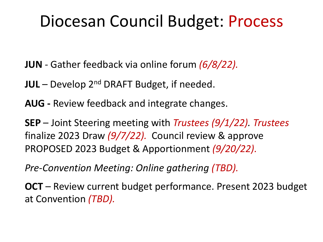# Diocesan Council Budget: Process

**JUN** - Gather feedback via online forum *(6/8/22).* 

- **JUL**  Develop 2nd DRAFT Budget, if needed.
- **AUG -** Review feedback and integrate changes.
- **SEP**  Joint Steering meeting with *Trustees (9/1/22). Trustees* finalize 2023 Draw *(9/7/22).* Council review & approve PROPOSED 2023 Budget & Apportionment *(9/20/22).*
- *Pre-Convention Meeting: Online gathering (TBD).*
- **OCT** Review current budget performance. Present 2023 budget at Convention *(TBD).*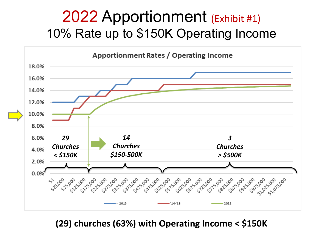## 2022 Apportionment (Exhibit #1) 10% Rate up to \$150K Operating Income



**(29) churches (63%) with Operating Income < \$150K**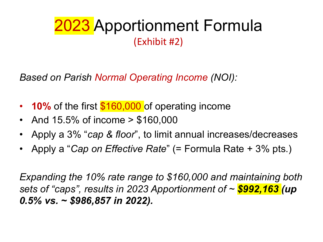# 2023 Apportionment Formula (Exhibit #2)

*Based on Parish Normal Operating Income (NOI):*

- **10%** of the first **\$160,000** of operating income
- And 15.5% of income > \$160,000
- Apply a 3% "*cap & floor*", to limit annual increases/decreases
- Apply a "*Cap on Effective Rate*" (= Formula Rate + 3% pts.)

*Expanding the 10% rate range to \$160,000 and maintaining both sets of "caps", results in 2023 Apportionment of ~ \$992,163 (up 0.5% vs. ~ \$986,857 in 2022).*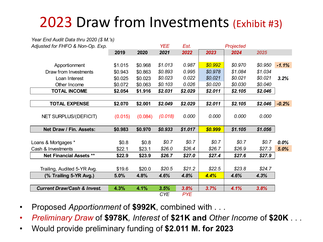# 2023 Draw from Investments (Exhibit #3)

| Year End Audit Data thru 2020 (\$ M.'s) |         |         |            |            |         |           |         |         |
|-----------------------------------------|---------|---------|------------|------------|---------|-----------|---------|---------|
| Adjusted for FHFO & Non-Op. Exp.        |         |         | <b>YEE</b> | Est.       |         | Projected |         |         |
|                                         | 2019    | 2020    | 2021       | 2022       | 2023    | 2024      | 2025    |         |
|                                         |         |         |            |            |         |           |         |         |
| Apportionment                           | \$1.015 | \$0.968 | \$1.013    | 0.987      | \$0.992 | \$0.970   | \$0.950 | $-1.1%$ |
| Draw from Investments                   | \$0.943 | \$0.863 | \$0.893    | 0.995      | \$0.978 | \$1.084   | \$1.034 |         |
| Loan Interest                           | \$0.025 | \$0.023 | \$0.023    | 0.022      | \$0.021 | \$0.021   | \$0.021 | 3.2%    |
| Other Income                            | \$0.072 | \$0.063 | \$0.103    | 0.026      | \$0.020 | \$0.030   | \$0.040 |         |
| <b>TOTAL INCOME</b>                     | \$2.054 | \$1.916 | \$2.031    | \$2.029    | \$2.011 | \$2.105   | \$2.046 |         |
|                                         |         |         |            |            |         |           |         |         |
| <b>TOTAL EXPENSE</b>                    | \$2.070 | \$2.001 | \$2.049    | \$2.029    | \$2.011 | \$2.105   | \$2.046 | $-0.2%$ |
|                                         |         |         |            |            |         |           |         |         |
| NET SURPLUS/(DEFICIT)                   | (0.015) | (0.084) | (0.018)    | 0.000      | 0.000   | 0.000     | 0.000   |         |
|                                         |         |         |            |            |         |           |         |         |
| Net Draw / Fin. Assets:                 | \$0.983 | \$0.970 | \$0.933    | \$1.017    | \$0.999 | \$1.105   | \$1.056 |         |
|                                         |         |         |            |            |         |           |         |         |
| Loans & Mortgages *                     | \$0.8\$ | \$0.8   | \$0.7      | \$0.7      | \$0.7   | \$0.7     | \$0.7   | 0.0%    |
| Cash & Investments                      | \$22.1  | \$23.1  | \$26.0     | \$26.4     | \$26.7  | \$26.9    | \$27.3  | 5.0%    |
| <b>Net Financial Assets **</b>          | \$22.9  | \$23.9  | \$26.7     | \$27.0     | \$27.4  | \$27.6    | \$27.9  |         |
|                                         |         |         |            |            |         |           |         |         |
| Trailing, Audited 5-YR Avg.             | \$19.6  | \$20.0  | \$20.5     | \$21.2     | \$22.5  | \$23.8    | \$24.7  |         |
| (% Trailing 5-YR Avg.)                  | 5.0%    | 4.8%    | 4.6%       | 4.8%       | 4.4%    | 4.6%      | 4.3%    |         |
|                                         |         |         |            |            |         |           |         |         |
| <b>Current Draw/Cash &amp; Invest.</b>  | 4.3%    | 4.1%    | 3.5%       | 3.8%       | 3.7%    | 4.1%      | 3.8%    |         |
|                                         |         |         | <b>CYE</b> | <b>PYE</b> |         |           |         |         |

• Proposed *Apportionment* of **\$992K**, combined with . . .

• *Preliminary Draw* of **\$978K***, Interest* of **\$21K and** *Other Income* of **\$20K** . . .

• Would provide preliminary funding of **\$2.011 M. for 2023**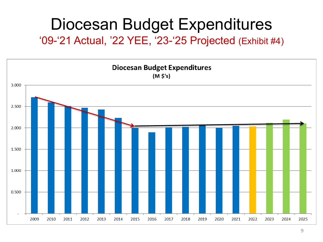# Diocesan Budget Expenditures

'09-'21 Actual, '22 YEE, '23-'25 Projected (Exhibit #4)

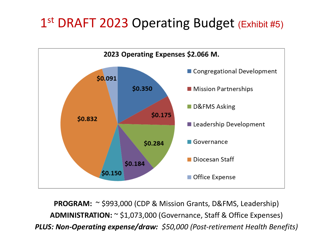## 1<sup>st</sup> DRAFT 2023 Operating Budget (Exhibit #5)



**PROGRAM:**  $\sim$  \$993,000 (CDP & Mission Grants, D&FMS, Leadership) **ADMINISTRATION:** ~ \$1,073,000 (Governance, Staff & Office Expenses) *PLUS: Non-Operating expense/draw: \$50,000 (Post-retirement Health Benefits)*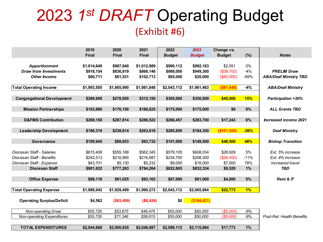## 2023 *1st DRAFT* Operating Budget (Exhibit #6)

| 2020<br>2021<br>2022<br>2023<br>2019                                                                                                         | Change vs.                  |                              |
|----------------------------------------------------------------------------------------------------------------------------------------------|-----------------------------|------------------------------|
| <b>Final</b><br><b>Final</b><br><b>Final</b><br><b>Budget</b><br><b>Budget</b>                                                               | (%)<br><b>Budget</b>        | <b>Notes</b>                 |
|                                                                                                                                              |                             |                              |
| \$1,014,640<br>\$967,640<br>\$1,012,989<br>\$990,112<br>\$992,163<br><b>Apportionment</b>                                                    | \$2,051<br>$0\%$            |                              |
| <b>Draw from Investments</b><br>\$918,154<br>\$836,819<br>\$866,146<br>\$988,000<br>\$949,300                                                | $-4%$<br>(\$38,700)         | <b>PRELIM Draw</b>           |
| \$60,711<br>\$61,531<br>\$102,713<br><b>Other Income</b><br>\$65,000<br>\$20,000                                                             | (\$45,000)<br>$-69%$        | <b>ABA/Deaf Ministry TBD</b> |
|                                                                                                                                              |                             |                              |
| \$1,993,505<br>\$1,865,990<br>\$1,981,848<br>\$2,043,112<br>\$1,961,463<br><b>Total Operating Income</b>                                     | (\$81,649)<br>$-4%$         | <b>ABA/Deaf Ministry</b>     |
|                                                                                                                                              |                             |                              |
| \$350,000<br><b>Congregational Development</b><br>\$269,908<br>\$278,950<br>\$312,150<br>\$305,000                                           | \$45,000<br><b>15%</b>      | <b>Participation +20%</b>    |
|                                                                                                                                              |                             |                              |
| <b>Mission Partnerships</b><br>\$163,880<br>\$176,150<br>\$166,825<br>\$175,000<br>\$175,000                                                 | \$0<br>0%                   | <b>ALL Grants TBD</b>        |
|                                                                                                                                              |                             |                              |
| <b>D&amp;FMS Contribution</b><br>\$269,150<br>\$287,814<br>\$286,522<br>\$266,457<br>\$283,700                                               | 6%<br>\$17,243              | <b>Increased income 2021</b> |
|                                                                                                                                              |                             |                              |
| \$238,614<br>\$263,616<br>\$184,350<br><b>Leadership Development</b><br>\$186,319<br>\$285,850                                               | (\$101,500)<br>$-36%$       | <b>Deaf Ministry</b>         |
|                                                                                                                                              |                             |                              |
| \$89,653<br>\$93,732<br>\$101,000<br>\$149,500<br>\$109,945<br><b>Governance</b>                                                             | \$48,500<br>48%             | <b>Bishop Transition</b>     |
|                                                                                                                                              |                             |                              |
| \$562,345<br>Diocesan Staff - Salaries<br>\$615,408<br>\$555,188<br>\$579,105<br>\$608,034                                                   | \$28,929<br>5%              | Est. 5% increase             |
| Diocesan Staff - Benefits<br>\$216,965<br>\$216,687<br>\$242,513<br>\$234,700<br>\$208,300                                                   | $-11%$<br>(\$26,400)        | Est. 4% increase             |
| \$43,701<br>\$5,130<br>\$5,232<br>\$9,000<br>\$16,000<br>Diocesan Staff - Expense                                                            | 78%<br>\$7,000              | Increased travel             |
| <b>Diocesan Staff</b><br>\$901,622<br>\$777,283<br>\$784,264<br>\$822,805<br>\$832,334                                                       | 1%<br>\$9,529               | <b>TBD</b>                   |
|                                                                                                                                              |                             |                              |
| \$81,025<br>\$83,163<br><b>Office Expense</b><br>\$88,118<br>\$87,000<br>\$91,000                                                            | 5%<br>\$4,000               | <b>Rent &amp; IT</b>         |
|                                                                                                                                              |                             |                              |
| \$1,990,272<br>\$2,043,112<br><b>Total Operating Expense</b><br>\$1,988,942<br>\$1,929,489<br>\$2,065,884                                    | \$22,773<br>1%              |                              |
|                                                                                                                                              |                             |                              |
| (\$104,421)<br>\$0<br><b>Operating Surplus/Deficit</b><br>\$4,562<br>(\$63,499)<br>(\$8,424)                                                 |                             |                              |
| \$53,675<br>\$49,475<br>\$55,000                                                                                                             | $($ \$5.000)                |                              |
| Non-operating Draw.<br>\$55,726<br>\$50,000<br>\$55,000<br>\$50,000<br><b>Non-operating Expenditures</b><br>\$55,726<br>\$71,346<br>\$58,615 | $-9%$<br>$-9%$<br>(\$5,000) | Post-Ret. Health Benefits    |
|                                                                                                                                              |                             |                              |
| \$2,000,835<br>\$2,048,887<br>\$2,098,112<br>\$2,115,884<br><b>TOTAL EXPENDITURES</b><br>\$2,044,668                                         | \$17,773<br>1%              |                              |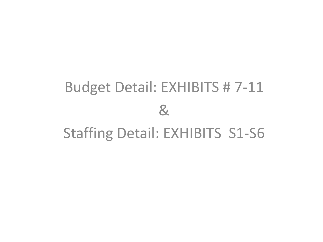# Budget Detail: EXHIBITS # 7-11 & Staffing Detail: EXHIBITS S1-S6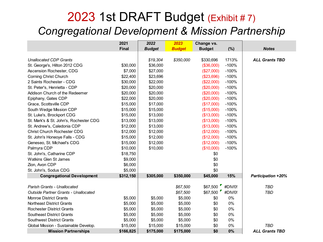### 2023 1st DRAFT Budget (Exhibit # 7) *Congregational Development & Mission Partnership*

|                                             | 2021         | 2022          | 2023          | Change vs.    |         |                           |
|---------------------------------------------|--------------|---------------|---------------|---------------|---------|---------------------------|
|                                             | <b>Final</b> | <b>Budget</b> | <b>Budget</b> | <b>Budget</b> | (%)     | <b>Notes</b>              |
|                                             |              |               |               |               |         |                           |
| <b>Unallocated CDP Grants</b>               |              | \$19,304      | \$350,000     | \$330,696     | 1713%   | <b>ALL Grants TBD</b>     |
| St. George's, Hilton 2012 CDG               | \$30,000     | \$36,000      |               | (\$36,000)    | $-100%$ |                           |
| Ascension Rochester, CDG                    | \$7,000      | \$27,000      |               | (\$27,000)    | $-100%$ |                           |
| <b>Corning Christ Church</b>                | \$22,400     | \$23,696      |               | (\$23,696)    | $-100%$ |                           |
| 2 Saints Rochester - CDG                    | \$30,000     | \$22,000      |               | (\$22,000)    | $-100%$ |                           |
| St. Peter's, Henrietta - CDP                | \$20,000     | \$20,000      |               | $(\$20,000)$  | $-100%$ |                           |
| Addison Church of the Redeemer              | \$20,000     | \$20,000      |               | $(\$20,000)$  | $-100%$ |                           |
| Epiphany, Gates CDP                         | \$22,000     | \$20,000      |               | (\$20,000)    | $-100%$ |                           |
| Grace, Scottsville CDP                      | \$15,000     | \$17,000      |               | (\$17,000)    | $-100%$ |                           |
| South Wedge Mission CDP                     | \$15,000     | \$15,000      |               | (\$15,000)    | $-100%$ |                           |
| St. Luke's, Brockport CDG                   | \$15,000     | \$13,000      |               | (\$13,000)    | $-100%$ |                           |
| St. Mark's & St. John's, Rochester CDG      | \$13,000     | \$13,000      |               | (\$13,000)    | $-100%$ |                           |
| St. Andrew's, Caledonia CDP                 | \$12,000     | \$13,000      |               | (\$13,000)    | $-100%$ |                           |
| Christ Church Rochester CDG                 | \$12,000     | \$12,000      |               | (\$12,000)    | $-100%$ |                           |
| St. John's Honeoye Falls - CDG              | \$15,000     | \$12,000      |               | (\$12,000)    | $-100%$ |                           |
| Geneseo, St. Michael's CDG                  | \$15,000     | \$12,000      |               | (\$12,000)    | $-100%$ |                           |
| Palmyra CDP                                 | \$10,000     | \$10,000      |               | (\$10,000)    | $-100%$ |                           |
| St. John's, Catharine CDP                   | \$18,750     |               |               | \$0           |         |                           |
| <b>Watkins Glen St James</b>                | \$9,000      |               |               | \$0           |         |                           |
| Zion, Avon CDP                              | \$6,000      |               |               | \$0           |         |                           |
| St. John's, Sodus CDG                       | \$5,000      |               |               | \$0           |         |                           |
| <b>Congregational Development</b>           | \$312,150    | \$305,000     | \$350,000     | \$45,000      | 15%     | <b>Participation +20%</b> |
|                                             |              |               |               |               |         |                           |
| Parish Grants - Unallocated                 |              |               | \$67,500      | \$67,500      | #DIV/0! | <b>TBD</b>                |
| <b>Outside Partner Grants - Unallocated</b> |              |               | \$67,500      | \$67,500      | #DIV/0! | <b>TBD</b>                |
| <b>Monroe District Grants</b>               | \$5,000      | \$5,000       | \$5,000       | \$0           | $0\%$   |                           |
| <b>Northeast District Grants</b>            | \$5,000      | \$5,000       | \$5,000       | \$0           | $0\%$   |                           |
| <b>Rochester District Grants</b>            | \$5,000      | \$5,000       | \$5,000       | \$0           | $0\%$   |                           |
| <b>Southeast District Grants</b>            | \$5,000      | \$5,000       | \$5,000       | \$0           | $0\%$   |                           |
| <b>Southwest District Grants</b>            | \$5,000      | \$5,000       | \$5,000       | \$0           | $0\%$   |                           |
| Global Mission - Sustainable Develop.       | \$15,000     | \$15,000      | \$15,000      | \$0           | 0%      | <b>TBD</b>                |
| <b>Mission Partnerships</b>                 | \$166,825    | \$175,000     | \$175,000     | \$0           | 0%      | <b>ALL Grants TBD</b>     |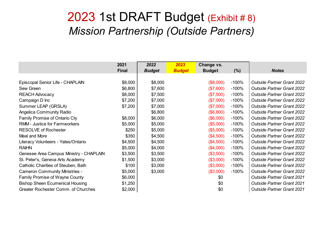#### 2023 1st DRAFT Budget (Exhibit # 8) *Mission Partnership (Outside Partners)*

|                                         | 2021         | 2022          | 2023          | Change vs.    |          |                                   |
|-----------------------------------------|--------------|---------------|---------------|---------------|----------|-----------------------------------|
|                                         | <b>Final</b> | <b>Budget</b> | <b>Budget</b> | <b>Budget</b> | $(\% )$  | <b>Notes</b>                      |
|                                         |              |               |               |               |          |                                   |
| Episcopal Senior Life - CHAPLAIN        | \$8,000      | \$8,000       |               | (\$8,000)     | $-100%$  | <b>Outside Partner Grant 2022</b> |
| Sew Green                               | \$6,800      | \$7,600       |               | (\$7,600)     | $-100%$  | <b>Outside Partner Grant 2022</b> |
| <b>REACH Advocacy</b>                   | \$8,000      | \$7,500       |               | (\$7,500)     | $-100%$  | <b>Outside Partner Grant 2022</b> |
| Campaign D Inc                          | \$7,200      | \$7,000       |               | (\$7,000)     | $-100\%$ | <b>Outside Partner Grant 2022</b> |
| Summer LEAP (GRSLA)                     | \$7,200      | \$7,000       |               | (\$7,000)     | $-100%$  | <b>Outside Partner Grant 2022</b> |
| Angelica Community Radio                |              | \$6,800       |               | (\$6,800)     | $-100%$  | <b>Outside Partner Grant 2022</b> |
| Family Promise of Ontario Cty           | \$8,000      | \$6,000       |               | (\$6,000)     | $-100%$  | <b>Outside Partner Grant 2022</b> |
| <b>RMM</b> - Justice for Farmworkers    | \$5,000      | \$5,000       |               | (\$5,000)     | $-100%$  | <b>Outside Partner Grant 2022</b> |
| <b>RESOLVE of Rochester</b>             | \$250        | \$5,000       |               | (\$5,000)     | $-100%$  | <b>Outside Partner Grant 2022</b> |
| Meal and More                           | \$350        | \$4,500       |               | (\$4,500)     | $-100%$  | <b>Outside Partner Grant 2022</b> |
| Literacy Volunteers - Yates/Ontario     | \$4,500      | \$4,500       |               | (\$4,500)     | $-100%$  | <b>Outside Partner Grant 2022</b> |
| <b>RAIHN</b>                            | \$5,000      | \$4,000       |               | (\$4,000)     | $-100%$  | <b>Outside Partner Grant 2022</b> |
| Genesee Area Campus Ministry - CHAPLAIN | \$3,500      | \$3,500       |               | (\$3,500)     | $-100%$  | <b>Outside Partner Grant 2022</b> |
| St. Peter's, Geneva Arts Academy        | \$1,500      | \$3,000       |               | (\$3,000)     | $-100%$  | <b>Outside Partner Grant 2022</b> |
| Catholic Charities of Steuben, Bath     | \$100        | \$3,000       |               | (\$3,000)     | $-100%$  | <b>Outside Partner Grant 2022</b> |
| <b>Cameron Community Ministries -</b>   | \$5,000      | \$3,000       |               | (\$3,000)     | $-100\%$ | <b>Outside Partner Grant 2022</b> |
| Family Promise of Wayne County          | \$6,000      |               |               | \$0           |          | <b>Outside Partner Grant 2021</b> |
| <b>Bishop Sheen Ecumenical Housing</b>  | \$1,250      |               |               | \$0           |          | <b>Outside Partner Grant 2021</b> |
| Greater Rochester Comm. of Churches     | \$2,000      |               |               | \$0           |          | <b>Outside Partner Grant 2021</b> |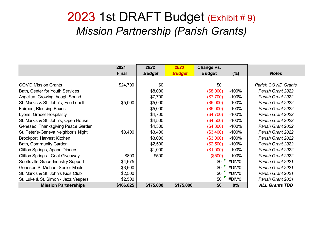#### 2023 1st DRAFT Budget (Exhibit # 9) *Mission Partnership (Parish Grants)*

|                                     | 2021         | 2022          | 2023          | Change vs.    |         |                       |
|-------------------------------------|--------------|---------------|---------------|---------------|---------|-----------------------|
|                                     | <b>Final</b> | <b>Budget</b> | <b>Budget</b> | <b>Budget</b> | (%)     | <b>Notes</b>          |
|                                     |              |               |               |               |         |                       |
| <b>COVID Mission Grants</b>         | \$24,700     | \$0           |               | \$0           |         | Parish COVID Grants   |
| Bath, Center for Youth Services     |              | \$8,000       |               | (\$8,000)     | $-100%$ | Parish Grant 2022     |
| Angelica, Growing though Sound      |              | \$7,700       |               | (\$7,700)     | $-100%$ | Parish Grant 2022     |
| St. Mark's & St. John's, Food shelf | \$5,000      | \$5,000       |               | (\$5,000)     | $-100%$ | Parish Grant 2022     |
| Fairport, Blessing Boxes            |              | \$5,000       |               | (\$5,000)     | $-100%$ | Parish Grant 2022     |
| Lyons, Grace! Hospitality           |              | \$4,700       |               | (\$4,700)     | $-100%$ | Parish Grant 2022     |
| St. Mark's & St. John's, Open House |              | \$4,500       |               | (\$4,500)     | $-100%$ | Parish Grant 2022     |
| Geneseo, Thanksgiving Peace Garden  |              | \$4,300       |               | (\$4,300)     | $-100%$ | Parish Grant 2022     |
| St. Peter's-Geneva Neighbor's Night | \$3,400      | \$3,400       |               | (\$3,400)     | $-100%$ | Parish Grant 2022     |
| Brockport, Harvest Kitchen          |              | \$3,000       |               | (\$3,000)     | $-100%$ | Parish Grant 2022     |
| Bath, Community Garden              |              | \$2,500       |               | (\$2,500)     | $-100%$ | Parish Grant 2022     |
| Clifton Springs, Agape Dinners      |              | \$1,000       |               | (\$1,000)     | $-100%$ | Parish Grant 2022     |
| Clifton Springs - Coat Giveaway     | \$800        | \$500         |               | (\$500)       | $-100%$ | Parish Grant 2022     |
| Scottsville Grace-Industry Support  | \$4,675      |               |               | \$0           | #DIV/0! | Parish Grant 2021     |
| Geneseo St Michael-Senior Meals     | \$3,600      |               |               | \$0           | #DIV/0! | Parish Grant 2021     |
| St. Mark's & St. John's Kids Club   | \$2,500      |               |               | \$0           | #DIV/0! | Parish Grant 2021     |
| St. Luke & St. Simon - Jazz Vespers | \$2,500      |               |               | \$0           | #DIV/0! | Parish Grant 2021     |
| <b>Mission Partnerships</b>         | \$166,825    | \$175,000     | \$175,000     | \$0           | $0\%$   | <b>ALL Grants TBD</b> |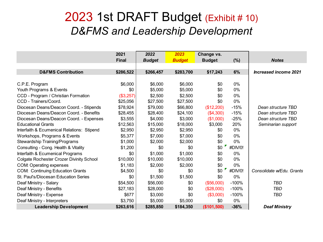#### 2023 1st DRAFT Budget (Exhibit # 10) *D&FMS and Leadership Development*

|                                                 | 2021         | 2022          | 2023          | Change vs.    |         |                           |
|-------------------------------------------------|--------------|---------------|---------------|---------------|---------|---------------------------|
|                                                 | <b>Final</b> | <b>Budget</b> | <b>Budget</b> | <b>Budget</b> | (%)     | <b>Notes</b>              |
|                                                 |              |               |               |               |         |                           |
| <b>D&amp;FMS Contribution</b>                   | \$286,522    | \$266,457     | \$283,700     | \$17,243      | 6%      | Increased income 2021     |
|                                                 |              |               |               |               |         |                           |
| C.P.E. Program                                  | \$6,000      | \$6,000       | \$6,000       | \$0           | 0%      |                           |
| Youth Programs & Events                         | \$0          | \$5,000       | \$5,000       | \$0           | 0%      |                           |
| CCD - Program / Christian Formation             | (\$3,257)    | \$2,500       | \$2,500       | \$0           | $0\%$   |                           |
| CCD - Trainers/Coord.                           | \$25,056     | \$27,500      | \$27,500      | \$0           | 0%      |                           |
| Diocesan Deans/Deacon Coord. - Stipends         | \$78,924     | \$79,000      | \$66,800      | (\$12,200)    | $-15%$  | Dean structure TBD        |
| Diocesan Deans/Deacon Coord. - Benefits         | \$28,455     | \$28,400      | \$24,100      | (\$4,300)     | $-15%$  | Dean structure TBD        |
| Diocesan Deans/Deacon Coord. - Expenses         | \$3,555      | \$4,000       | \$3,000       | (\$1,000)     | $-25%$  | Dean structure TBD        |
| <b>Educational Grants</b>                       | \$12,563     | \$15,000      | \$18,000      | \$3,000       | 20%     | Seminarian support        |
| Interfaith & Ecumenical Relations: Stipend      | \$2,950      | \$2,950       | \$2,950       | \$0           | 0%      |                           |
| Workshops, Programs & Events                    | \$5,377      | \$7,000       | \$7,000       | \$0           | 0%      |                           |
| Stewardship Training/Programs                   | \$1,000      | \$2,000       | \$2,000       | \$0           | $0\%$   |                           |
| Consulting - Cong. Health & Vitality            | \$1,200      | \$0           | \$0           | \$0           | #DIV/0! |                           |
| Interfaith & Ecumenical Programs                | \$0          | \$1,000       | \$1,000       | \$0           | $0\%$   |                           |
| <b>Colgate Rochester Crozer Divinity School</b> | \$10,000     | \$10,000      | \$10,000      | \$0           | $0\%$   |                           |
| COM: Operating expenses                         | \$1,183      | \$2,000       | \$2,000       | \$0           | 0%      |                           |
| <b>COM: Continuing Education Grants</b>         | \$4,500      | \$0           | \$0           | \$0           | #DIV/0! | Consolidate w/Edu, Grants |
| St. Paul's/Diocesan Education Series            | \$0          | \$1,500       | \$1,500       | \$0           | $0\%$   |                           |
| Deaf Ministry - Salary                          | \$54,500     | \$56,000      | \$0           | (\$56,000)    | $-100%$ | <b>TBD</b>                |
| Deaf Ministry - Benefits                        | \$27,183     | \$28,000      | \$0           | (\$28,000)    | $-100%$ | TBD                       |
| Deaf Ministry - Expense                         | \$677        | \$3,000       | \$0           | (\$3,000)     | $-100%$ | TBD                       |
| Deaf Ministry - Interpreters                    | \$3,750      | \$5,000       | \$5,000       | \$0           | 0%      |                           |
| <b>Leadership Development</b>                   | \$263,616    | \$285,850     | \$184,350     | (\$101,500)   | $-36%$  | <b>Deaf Ministry</b>      |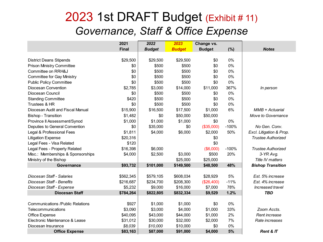### 2023 1st DRAFT Budget (Exhibit # 11) *Governance, Staff & Office Expense*

|                                         | 2021         | 2022          | 2023          | Change vs.    |         |                           |  |
|-----------------------------------------|--------------|---------------|---------------|---------------|---------|---------------------------|--|
|                                         | <b>Final</b> | <b>Budget</b> | <b>Budget</b> | <b>Budget</b> | (%)     | <b>Notes</b>              |  |
|                                         |              |               |               |               |         |                           |  |
| <b>District Deans Stipends</b>          | \$29,500     | \$29,500      | \$29,500      | \$0           | 0%      |                           |  |
| <b>Prison Ministry Committee</b>        | \$0          | \$500         | \$500         | \$0           | 0%      |                           |  |
| Committee on RRH&J                      | \$0          | \$500         | \$500         | \$0           | 0%      |                           |  |
| <b>Committee for Gay Ministry</b>       | \$0          | \$500         | \$500         | \$0           | 0%      |                           |  |
| <b>Public Policy Committee</b>          | \$0          | \$500         | \$500         | \$0           | $0\%$   |                           |  |
| Diocesan Convention                     | \$2,785      | \$3,000       | \$14,000      | \$11,000      | 367%    | In person                 |  |
| Diocesan Council                        | \$0          | \$500         | \$500         | \$0           | 0%      |                           |  |
| <b>Standing Committee</b>               | \$420        | \$500         | \$500         | \$0           | 0%      |                           |  |
| Trustees & HR                           | \$0          | \$500         | \$500         | \$0           | 0%      |                           |  |
| Diocesan Audit and Fiscal Manual        | \$15,900     | \$16,500      | \$17,500      | \$1,000       | 6%      | $MMB + Actual$            |  |
| <b>Bishop - Transition</b>              | \$1,482      | \$0           | \$50,000      | \$50,000      |         | Move to Governance        |  |
| Province II Assessment/Synod            | \$1,000      | \$1,000       | \$1,000       | \$0           | 0%      |                           |  |
| Deputies to General Convention          | \$0          | \$35,000      | \$0           | (\$35,000)    | $-100%$ | No Gen. Conv.             |  |
| Legal & Professional Fees               | \$1,811      | \$4,000       | \$6,000       | \$2,000       | 50%     | Excl. Litigation & Prop.  |  |
| <b>Litigation Expense</b>               | \$20,316     |               |               | \$0           |         | <b>Trustee Authorized</b> |  |
| Legal Fees - Visa Related               | \$120        |               |               | \$0           |         |                           |  |
| Legal Fees - Property Related           | \$16,398     | \$6,000       |               | (\$6,000)     | $-100%$ | <b>Trustee Authorized</b> |  |
| Misc.: Memberships & Sponsorships       | \$4,000      | \$2,500       | \$3,000       | \$500         | 20%     | 3-YR Avg.                 |  |
| Ministry of the Bishop                  |              |               | \$25,000      | \$25,000      |         | Title IV matters          |  |
| <b>Governance</b>                       | \$93,732     | \$101,000     | \$149,500     | \$48,500      | 48%     | <b>Bishop Transition</b>  |  |
|                                         |              |               |               |               |         |                           |  |
| Diocesan Staff - Salaries               | \$562,345    | \$579,105     | \$608,034     | \$28,929      | 5%      | Est. 5% increase          |  |
| Diocesan Staff - Benefits               | \$216,687    | \$234,700     | \$208,300     | (\$26,400)    | $-11%$  | Est. 4% increase          |  |
| Diocesan Staff - Expense                | \$5,232      | \$9,000       | \$16,000      | \$7,000       | 78%     | Increased travel          |  |
| <b>Diocesan Staff</b>                   | \$784,264    | \$822,805     | \$832,334     | \$9,529       | 1.2%    | <b>TBD</b>                |  |
|                                         |              |               |               |               |         |                           |  |
| <b>Communications /Public Relations</b> | \$927        | \$1,000       | \$1,000       | \$0           | 0%      |                           |  |
| Telecommunications                      | \$3,090      | \$3,000       | \$4,000       | \$1,000       | 33%     | Zoom Accts.               |  |
| Office Expense                          | \$40,095     | \$43,000      | \$44,000      | \$1,000       | 2%      | Rent increase             |  |
| Electronic Maintenance & Lease          | \$31,012     | \$30,000      | \$32,000      | \$2,000       | 7%      | Rate increases            |  |
| Diocesan Insurance                      | \$8,039      | \$10,000      | \$10,000      | \$0           | 0%      |                           |  |
| <b>Office Expense</b>                   | \$83,163     | \$87,000      | \$91,000      | \$4,000       | 5%      | <b>Rent &amp; IT</b>      |  |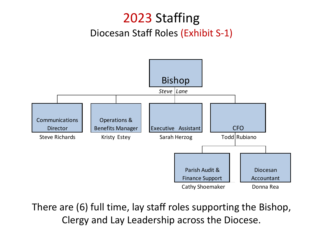### 2023 Staffing Diocesan Staff Roles (Exhibit S-1)



There are (6) full time, lay staff roles supporting the Bishop, Clergy and Lay Leadership across the Diocese.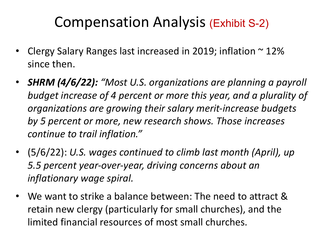# Compensation Analysis (Exhibit S-2)

- Clergy Salary Ranges last increased in 2019; inflation  $\sim$  12% since then.
- *SHRM (4/6/22): "Most U.S. organizations are planning a payroll budget increase of 4 percent or more this year, and a plurality of organizations are growing their salary merit-increase budgets by 5 percent or more, new research shows. Those increases continue to trail inflation."*
- (5/6/22): *U.S. wages continued to climb last month (April), up 5.5 percent year-over-year, driving concerns about an inflationary wage spiral.*
- We want to strike a balance between: The need to attract & retain new clergy (particularly for small churches), and the limited financial resources of most small churches.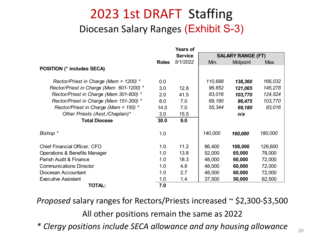### 2023 1st DRAFT Staffing Diocesan Salary Ranges (Exhibit S-3)

|                                          |              | <b>Years of</b> |         |                          |         |
|------------------------------------------|--------------|-----------------|---------|--------------------------|---------|
|                                          |              | <b>Service</b>  |         | <b>SALARY RANGE (FT)</b> |         |
|                                          | <b>Roles</b> | 5/1/2022        | Min.    | Midpoint                 | Max.    |
| <b>POSITION (* includes SECA)</b>        |              |                 |         |                          |         |
| Rector/Priest in Charge (Mem > 1200) *   | 0.0          |                 | 110,688 | 138,360                  | 166,032 |
| Rector/Priest in Charge (Mem 601-1200) * | 3.0          | 12.8            | 96,852  | 121,065                  | 145,278 |
| Rector/Priest in Charge (Mem 301-600) *  | 2.0          | 41.5            | 83,016  | 103,770                  | 124,524 |
| Rector/Priest in Charge (Mem 151-300) *  | 8.0          | 7.0             | 69,180  | 86,475                   | 103,770 |
| Rector/Priest in Charge (Mem < 150) *    | 14.0         | 7.0             | 55,344  | 69,180                   | 83,016  |
| Other Priests (Asst./Chaplain)*          | 3.0          | 15.5            |         | n/a                      |         |
| <b>Total Diocese</b>                     | 30.0         | 9.0             |         |                          |         |
| Bishop *                                 | 1.0          |                 | 140,000 | 160,000                  | 180,000 |
| Chief Financial Officer, CFO             | 1.0          | 11.2            | 86,400  | 108,000                  | 129,600 |
| Operations & Benefits Manager            | 1.0          | 13.8            | 52,000  | 65,000                   | 78,000  |
| Parish Audit & Finance                   | 1.0          | 18.3            | 48,000  | 60,000                   | 72,000  |
| <b>Communications Director</b>           | 1.0          | 4.8             | 48,000  | 60,000                   | 72,000  |
| Diocesan Accountant                      | 1.0          | 2.7             | 48,000  | 60,000                   | 72,000  |
| <b>Executive Assistant</b>               | 1.0          | 1.4             | 37,500  | 50,000                   | 62,500  |
| <b>TOTAL:</b>                            | 7.0          |                 |         |                          |         |

*Proposed* salary ranges for Rectors/Priests increased ~ \$2,300-\$3,500 All other positions remain the same as 2022 *\* Clergy positions include SECA allowance and any housing allowance* <sup>20</sup>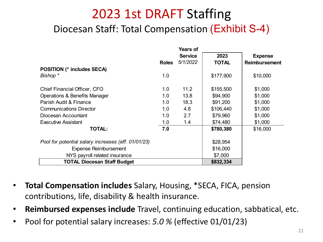### 2023 1st DRAFT Staffing Diocesan Staff: Total Compensation (Exhibit S-4)

|                                                     |              | <b>Service</b> | 2023         | <b>Expense</b>       |
|-----------------------------------------------------|--------------|----------------|--------------|----------------------|
|                                                     | <b>Roles</b> | 5/1/2022       | <b>TOTAL</b> | <b>Reimbursement</b> |
| <b>POSITION (* includes SECA)</b>                   |              |                |              |                      |
| Bishop *                                            | 1.0          |                | \$177,900    | \$10,000             |
| <b>Chief Financial Officer, CFO</b>                 | 1.0          | 11.2           | \$155,500    | \$1,000              |
| <b>Operations &amp; Benefits Manager</b>            | 1.0          | 13.8           | \$94,900     | \$1,000              |
| Parish Audit & Finance                              | 1.0          | 18.3           | \$91,200     | \$1,000              |
| <b>Communications Director</b>                      | 1.0          | 4.8            | \$106,440    | \$1,000              |
| Diocesan Accountant                                 | 1.0          | 2.7            | \$79,960     | \$1,000              |
| <b>Executive Assistant</b>                          | 1.0          | 1.4            | \$74,480     | \$1,000              |
| <b>TOTAL:</b>                                       | 7.0          |                | \$780,380    | \$16,000             |
| Pool for potential salary increases (eff. 01/01/23) |              |                | \$28,954     |                      |
| <b>Expense Reimbursement</b>                        |              |                | \$16,000     |                      |
| NYS payroll related insurance                       |              |                | \$7,000      |                      |
| <b>TOTAL Diocesan Staff Budget</b>                  |              |                | \$832,334    |                      |

- **Total Compensation includes** Salary, Housing, \*SECA, FICA, pension contributions, life, disability & health insurance.
- **Reimbursed expenses include** Travel, continuing education, sabbatical, etc.
- Pool for potential salary increases: *5.0 %* (effective 01/01/23)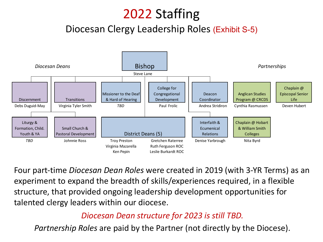## 2022 Staffing

#### Diocesan Clergy Leadership Roles (Exhibit S-5)



Four part-time *Diocesan Dean Roles* were created in 2019 (with 3-YR Terms) as an experiment to expand the breadth of skills/experiences required, in a flexible structure, that provided ongoing leadership development opportunities for talented clergy leaders within our diocese.

#### *Diocesan Dean structure for 2023 is still TBD.*

*Partnership Roles* are paid by the Partner (not directly by the Diocese).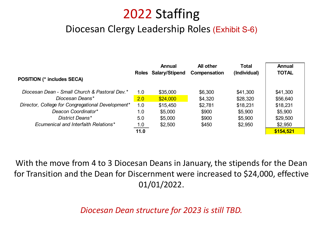### 2022 Staffing

#### Diocesan Clergy Leadership Roles (Exhibit S-6)

|                                                   |      | Annual               | <b>All other</b> | Total        | Annual       |
|---------------------------------------------------|------|----------------------|------------------|--------------|--------------|
|                                                   |      | Roles Salary/Stipend | Compensation     | (Individual) | <b>TOTAL</b> |
| <b>POSITION (* includes SECA)</b>                 |      |                      |                  |              |              |
| Diocesan Dean - Small Church & Pastoral Dev.*     | 1.0  | \$35,000             | \$6,300          | \$41,300     | \$41,300     |
| Diocesan Deans*                                   | 2.0  | \$24,000             | \$4,320          | \$28,320     | \$56,640     |
| Director, College for Congregational Development* | 1.0  | \$15,450             | \$2,781          | \$18,231     | \$18,231     |
| Deacon Coordinator*                               | 1.0  | \$5,000              | \$900            | \$5,900      | \$5,900      |
| District Deans*                                   | 5.0  | \$5,000              | \$900            | \$5,900      | \$29,500     |
| Ecumenical and Interfaith Relations*              | 1.0  | \$2,500              | \$450            | \$2,950      | \$2,950      |
|                                                   | 11.0 |                      |                  |              | \$154,521    |

With the move from 4 to 3 Diocesan Deans in January, the stipends for the Dean for Transition and the Dean for Discernment were increased to \$24,000, effective 01/01/2022.

*Diocesan Dean structure for 2023 is still TBD.*